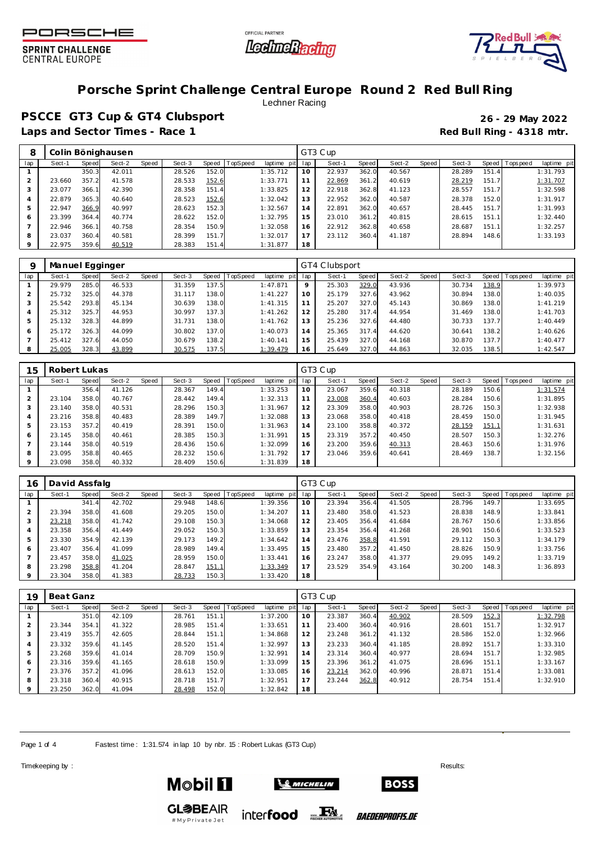





# **Porsche Sprint Challenge Central Europe Round 2 Red Bull Ring**

Lechner Racing

**PSCCE GT3 Cup & GT4 Clubsport 26 - 29 May 2022** Laps and Sector Times - Race 1 **Red Bull Ring - 4318 mtr.** 

| 8       |        |       | Colin Bönighausen |       |        |       |          |                 |     | GT3 Cup |       |        |       |        |       |                   |             |
|---------|--------|-------|-------------------|-------|--------|-------|----------|-----------------|-----|---------|-------|--------|-------|--------|-------|-------------------|-------------|
| lap     | Sect-1 | Speed | Sect-2            | Speed | Sect-3 | Speed | TopSpeed | pitl<br>laptime | lap | Sect-1  | Speed | Sect-2 | Speed | Sect-3 |       | Speed   Tops peed | laptime pit |
|         |        | 350.3 | 42.011            |       | 28.526 | 152.0 |          | 1:35.712        | 10  | 22.937  | 362.0 | 40.567 |       | 28.289 | 151.4 |                   | 1:31.793    |
|         | 23.660 | 357.2 | 41.578            |       | 28.533 | 152.6 |          | 1:33.771        |     | 22.869  | 361.2 | 40.619 |       | 28.219 | 151.7 |                   | 1:31.707    |
|         | 23.077 | 366.1 | 42.390            |       | 28.358 | 151.4 |          | 1:33.825        | 12  | 22.918  | 362.8 | 41.123 |       | 28.557 | 151.7 |                   | 1:32.598    |
| 4       | 22.879 | 365.3 | 40.640            |       | 28.523 | 152.6 |          | 1:32.042        | 13  | 22.952  | 362.0 | 40.587 |       | 28.378 | 152.0 |                   | 1:31.917    |
| 5       | 22.947 | 366.9 | 40.997            |       | 28.623 | 152.3 |          | 1:32.567        | 14  | 22.891  | 362.0 | 40.657 |       | 28.445 | 151.7 |                   | 1:31.993    |
| 6       | 23.399 | 364.4 | 40.774            |       | 28.622 | 152.0 |          | 1:32.795        | 15  | 23.010  | 361.2 | 40.815 |       | 28.615 | 151.1 |                   | 1:32.440    |
|         | 22.946 | 366.1 | 40.758            |       | 28.354 | 150.9 |          | 1:32.058        | 16  | 22.912  | 362.8 | 40.658 |       | 28.687 | 151.1 |                   | 1:32.257    |
| 8       | 23.037 | 360.4 | 40.581            |       | 28.399 | 151.7 |          | 1:32.017        |     | 23.112  | 360.4 | 41.187 |       | 28.894 | 148.6 |                   | 1:33.193    |
| $\circ$ | 22.975 | 359.6 | 40.519            |       | 28.383 | 151.4 |          | 1:31.877        | 18  |         |       |        |       |        |       |                   |             |

|     | Manuel Egginger |       |        |       |        |       |                 |             |         | GT4 Clubsport |       |        |       |        |        |                   |             |
|-----|-----------------|-------|--------|-------|--------|-------|-----------------|-------------|---------|---------------|-------|--------|-------|--------|--------|-------------------|-------------|
| lap | Sect-1          | Speed | Sect-2 | Speed | Sect-3 | Speed | <b>TopSpeed</b> | laptime pit | lap     | Sect-1        | Speed | Sect-2 | Speed | Sect-3 |        | Speed   Tops peed | laptime pit |
|     | 29.979          | 285.0 | 46.533 |       | 31.359 | 137.5 |                 | 1:47.871    | $\circ$ | 25.303        | 329.0 | 43.936 |       | 30.734 | 138.9  |                   | 1:39.973    |
|     | 25.732          | 325.0 | 44.378 |       | 31.117 | 138.0 |                 | 1:41.227    | 10      | 25.179        | 327.6 | 43.962 |       | 30.894 | 138.0  |                   | 1:40.035    |
|     | 25.542          | 293.8 | 45.134 |       | 30.639 | 138.0 |                 | 1: 41.315   |         | 25.207        | 327.0 | 45.143 |       | 30.869 | 138.0  |                   | 1:41.219    |
|     | 25.312          | 325.7 | 44.953 |       | 30.997 | 137.3 |                 | 1:41.262    | 12      | 25.280        | 317.4 | 44.954 |       | 31.469 | 138.0  |                   | 1:41.703    |
| 5   | 25.132          | 328.3 | 44.899 |       | 31.731 | 138.0 |                 | 1:41.762    | 3       | 25.236        | 327.6 | 44.480 |       | 30.733 | 137.7  |                   | 1:40.449    |
| 6   | 25.172          | 326.3 | 44.099 |       | 30.802 | 137.0 |                 | 1:40.073    | 14      | 25.365        | 317.4 | 44.620 |       | 30.641 | 138.2  |                   | 1:40.626    |
|     | 25.412          | 327.6 | 44.050 |       | 30.679 | 138.2 |                 | 1:40.141    | 15      | 25.439        | 327.0 | 44.168 |       | 30.870 | 137.71 |                   | 1:40.477    |
| 8   | 25.005          | 328.3 | 43.899 |       | 30.575 | 137.5 |                 | 1:39.479    | 16      | 25.649        | 327.0 | 44.863 |       | 32.035 | 138.5  |                   | 1:42.547    |

| 15  | Robert Lukas |       |        |       |        |           |                 |             |     | GT3 Cup |       |        |       |        |       |                   |             |
|-----|--------------|-------|--------|-------|--------|-----------|-----------------|-------------|-----|---------|-------|--------|-------|--------|-------|-------------------|-------------|
| lap | Sect-1       | Speed | Sect-2 | Speed | Sect-3 | Speed   T | <b>TopSpeed</b> | laptime pit | lap | Sect-1  | Speed | Sect-2 | Speed | Sect-3 |       | Speed   Tops peed | laptime pit |
|     |              | 356.4 | 41.126 |       | 28.367 | 149.4     |                 | 1:33.253    | 10  | 23.067  | 359.6 | 40.318 |       | 28.189 | 150.6 |                   | 1:31.574    |
|     | 23.104       | 358.0 | 40.767 |       | 28.442 | 149.4     |                 | 1:32.313    |     | 23.008  | 360.4 | 40.603 |       | 28.284 | 150.6 |                   | 1:31.895    |
| 3   | 23.140       | 358.0 | 40.531 |       | 28.296 | 150.3     |                 | 1:31.967    | 12  | 23.309  | 358.0 | 40.903 |       | 28.726 | 150.3 |                   | 1:32.938    |
| 4   | 23.216       | 358.8 | 40.483 |       | 28.389 | 149.7     |                 | 1:32.088    | 13  | 23.068  | 358.0 | 40.418 |       | 28.459 | 150.0 |                   | 1:31.945    |
| 5   | 23.153       | 357.2 | 40.419 |       | 28.391 | 150.0     |                 | 1:31.963    | 14  | 23.100  | 358.8 | 40.372 |       | 28.159 | 151.1 |                   | 1:31.631    |
| 6   | 23.145       | 358.0 | 40.461 |       | 28.385 | 150.3     |                 | 1:31.991    | 15  | 23.319  | 357.2 | 40.450 |       | 28.507 | 150.3 |                   | 1:32.276    |
|     | 23.144       | 358.0 | 40.519 |       | 28.436 | 150.6     |                 | 1:32.099    | 16  | 23.200  | 359.6 | 40.313 |       | 28.463 | 150.6 |                   | 1:31.976    |
| 8   | 23.095       | 358.8 | 40.465 |       | 28.232 | 150.6     |                 | 1:31.792    | 17  | 23.046  | 359.6 | 40.641 |       | 28.469 | 138.7 |                   | 1:32.156    |
| 9   | 23.098       | 358.0 | 40.332 |       | 28.409 | 150.6     |                 | 1:31.839    | 18  |         |       |        |       |        |       |                   |             |

| 16  | David Assfalg |       |        |       |        |           |          |             |     | GT3 Cup |       |        |       |        |       |                |             |
|-----|---------------|-------|--------|-------|--------|-----------|----------|-------------|-----|---------|-------|--------|-------|--------|-------|----------------|-------------|
| lap | Sect-1        | Speed | Sect-2 | Speed | Sect-3 | Speed   T | TopSpeed | laptime pit | lap | Sect-1  | Speed | Sect-2 | Speed | Sect-3 |       | Speed Topspeed | laptime pit |
|     |               | 341.4 | 42.702 |       | 29.948 | 148.6     |          | 1:39.356    | 10  | 23.394  | 356.4 | 41.505 |       | 28.796 | 149.7 |                | 1:33.695    |
|     | 23.394        | 358.0 | 41.608 |       | 29.205 | 150.0     |          | 1:34.207    | 11  | 23.480  | 358.0 | 41.523 |       | 28.838 | 148.9 |                | 1:33.841    |
|     | 23.218        | 358.0 | 41.742 |       | 29.108 | 150.3     |          | 1:34.068    | 12  | 23.405  | 356.4 | 41.684 |       | 28.767 | 150.6 |                | 1:33.856    |
|     | 23.358        | 356.4 | 41.449 |       | 29.052 | 150.3     |          | 1:33.859    | 13  | 23.354  | 356.4 | 41.268 |       | 28.901 | 150.6 |                | 1:33.523    |
|     | 23.330        | 354.9 | 42.139 |       | 29.173 | 149.2     |          | 1:34.642    | 14  | 23.476  | 358.8 | 41.591 |       | 29.112 | 150.3 |                | 1:34.179    |
| 6   | 23.407        | 356.4 | 41.099 |       | 28.989 | 149.4     |          | 1:33.495    | 15  | 23.480  | 357.2 | 41.450 |       | 28.826 | 150.9 |                | 1:33.756    |
|     | 23.457        | 358.0 | 41.025 |       | 28.959 | 150.0     |          | 1:33.441    | 16  | 23.247  | 358.0 | 41.377 |       | 29.095 | 149.2 |                | 1:33.719    |
| 8   | 23.298        | 358.8 | 41.204 |       | 28.847 | 151.1     |          | 1:33.349    | 17  | 23.529  | 354.9 | 43.164 |       | 30.200 | 148.3 |                | 1:36.893    |
|     | 23.304        | 358.0 | 41.383 |       | 28.733 | 150.3     |          | 1:33.420    | 18  |         |       |        |       |        |       |                |             |

| 19             | Beat Ganz |       |        |       |        |       |          |                 |    | GT3 Cup |       |        |       |        |       |                |             |
|----------------|-----------|-------|--------|-------|--------|-------|----------|-----------------|----|---------|-------|--------|-------|--------|-------|----------------|-------------|
| lap            | Sect-1    | Speed | Sect-2 | Speed | Sect-3 | Speed | TopSpeed | laptime pit lap |    | Sect-1  | Speed | Sect-2 | Speed | Sect-3 |       | Speed Topspeed | laptime pit |
|                |           | 351.0 | 42.109 |       | 28.761 | 151.1 |          | 1:37.200        | 10 | 23.387  | 360.4 | 40.902 |       | 28.509 | 152.3 |                | 1:32.798    |
|                | 23.344    | 354.1 | 41.322 |       | 28.985 | 151.4 |          | 1:33.651        | 11 | 23.400  | 360.4 | 40.916 |       | 28.601 | 151.7 |                | 1:32.917    |
| 3              | 23.419    | 355.7 | 42.605 |       | 28.844 | 151.1 |          | 1:34.868        | 12 | 23.248  | 361.2 | 41.132 |       | 28.586 | 152.0 |                | 1:32.966    |
| $\overline{4}$ | 23.332    | 359.6 | 41.145 |       | 28.520 | 151.4 |          | 1:32.997        | 13 | 23.233  | 360.4 | 41.185 |       | 28.892 | 151.7 |                | 1:33.310    |
| 5              | 23.268    | 359.6 | 41.014 |       | 28.709 | 150.9 |          | 1:32.991        | 14 | 23.314  | 360.4 | 40.977 |       | 28.694 | 151.7 |                | 1:32.985    |
| 6              | 23.316    | 359.6 | 41.165 |       | 28.618 | 150.9 |          | 1:33.099        | 15 | 23.396  | 361.2 | 41.075 |       | 28.696 | 151.1 |                | 1:33.167    |
|                | 23.376    | 357.2 | 41.096 |       | 28.613 | 152.0 |          | 1:33.085        | 16 | 23.214  | 362.0 | 40.996 |       | 28.871 | 151.4 |                | 1:33.081    |
| 8              | 23.318    | 360.4 | 40.915 |       | 28.718 | 151.7 |          | 1:32.951        | 17 | 23.244  | 362.8 | 40.912 |       | 28.754 | 151.4 |                | 1:32.910    |
| 9              | 23.250    | 362.0 | 41.094 |       | 28.498 | 152.0 |          | 1:32.842        | 18 |         |       |        |       |        |       |                |             |

Page 1 of 4 Fastest time: 1:31.574 in lap 10 by nbr. 15: Robert Lukas (GT3 Cup)

Timekeeping by : Results:  $\blacksquare$ 



#MyPrivateJet



**GL参BEAIR** inter**food** FALL

*BAEDERPROFIS.DE*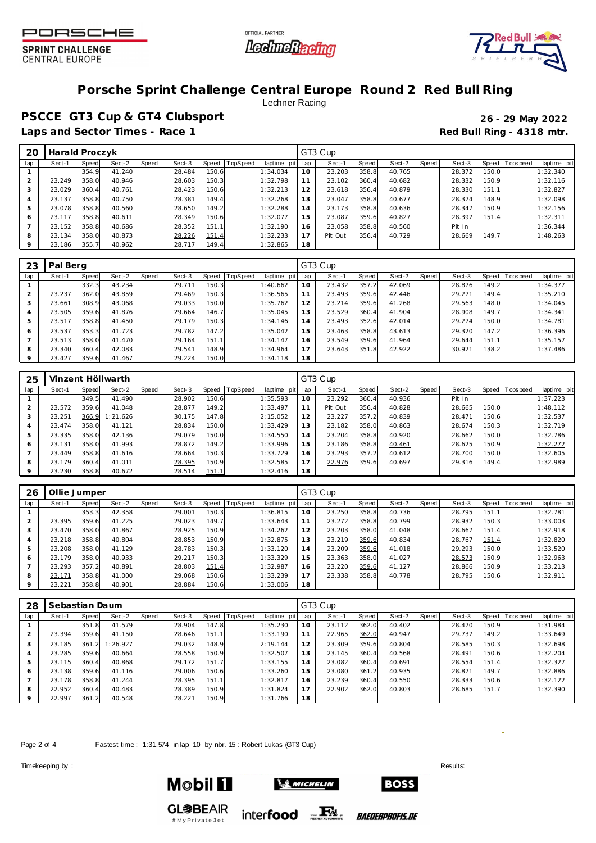





# **Porsche Sprint Challenge Central Europe Round 2 Red Bull Ring**

Lechner Racing

**PSCCE GT3 Cup & GT4 Clubsport 26 - 29 May 2022** Laps and Sector Times - Race 1 **Red Bull Ring - 4318 mtr.** 

| 20  | Harald Proczyk |       |        |       |        |       |          |             |                 | GT3 Cup |       |        |       |        |       |           |             |
|-----|----------------|-------|--------|-------|--------|-------|----------|-------------|-----------------|---------|-------|--------|-------|--------|-------|-----------|-------------|
| lap | Sect-1         | Speed | Sect-2 | Speed | Sect-3 | Speed | TopSpeed | laptime pit | lap             | Sect-1  | Speed | Sect-2 | Speed | Sect-3 | Speed | Tops peed | laptime pit |
|     |                | 354.9 | 41.240 |       | 28.484 | 150.6 |          | 1:34.034    | 10              | 23.203  | 358.8 | 40.765 |       | 28.372 | 150.0 |           | 1:32.340    |
|     | 23.249         | 358.0 | 40.946 |       | 28.603 | 150.3 |          | 1:32.798    |                 | 23.102  | 360.4 | 40.682 |       | 28.332 | 150.9 |           | 1:32.116    |
| 3   | 23.029         | 360.4 | 40.761 |       | 28.423 | 150.6 |          | 1:32.213    | 12              | 23.618  | 356.4 | 40.879 |       | 28.330 | 151.1 |           | 1:32.827    |
| 4   | 23.137         | 358.8 | 40.750 |       | 28.381 | 149.4 |          | 1:32.268    | 13 <sup>7</sup> | 23.047  | 358.8 | 40.677 |       | 28.374 | 148.9 |           | 1:32.098    |
| 5   | 23.078         | 358.8 | 40.560 |       | 28.650 | 149.2 |          | 1:32.288    | 14              | 23.173  | 358.8 | 40.636 |       | 28.347 | 150.9 |           | 1:32.156    |
| 6   | 23.117         | 358.8 | 40.611 |       | 28.349 | 150.6 |          | 1:32.077    | 15              | 23.087  | 359.6 | 40.827 |       | 28.397 | 151.4 |           | 1:32.311    |
|     | 23.152         | 358.8 | 40.686 |       | 28.352 | 151.1 |          | 1:32.190    | 16              | 23.058  | 358.8 | 40.560 |       | Pit In |       |           | 1:36.344    |
| 8   | 23.134         | 358.0 | 40.873 |       | 28.226 | 151.4 |          | 1:32.233    |                 | Pit Out | 356.4 | 40.729 |       | 28.669 | 149.7 |           | 1:48.263    |
| 9   | 23.186         | 355.7 | 40.962 |       | 28.717 | 149.4 |          | 1:32.865    | 18              |         |       |        |       |        |       |           |             |

| 23  | Pal Berg |       |        |       |        |       |          |             |     | GT3 Cup |       |        |       |        |       |                   |             |
|-----|----------|-------|--------|-------|--------|-------|----------|-------------|-----|---------|-------|--------|-------|--------|-------|-------------------|-------------|
| lap | Sect-1   | Speed | Sect-2 | Speed | Sect-3 | Speed | TopSpeed | laptime pit | lap | Sect-1  | Speed | Sect-2 | Speed | Sect-3 |       | Speed   Tops peed | laptime pit |
|     |          | 332.3 | 43.234 |       | 29.711 | 150.3 |          | 1:40.662    | 10  | 23.432  | 357.2 | 42.069 |       | 28.876 | 149.2 |                   | 1:34.377    |
|     | 23.237   | 362.0 | 43.859 |       | 29.469 | 150.3 |          | 1:36.565    | 11  | 23.493  | 359.6 | 42.446 |       | 29.271 | 149.4 |                   | 1:35.210    |
|     | 23.661   | 308.9 | 43.068 |       | 29.033 | 150.0 |          | 1:35.762    | 12  | 23.214  | 359.6 | 41.268 |       | 29.563 | 148.0 |                   | 1:34.045    |
|     | 23.505   | 359.6 | 41.876 |       | 29.664 | 146.7 |          | 1:35.045    | 13  | 23.529  | 360.4 | 41.904 |       | 28.908 | 149.7 |                   | 1:34.341    |
|     | 23.517   | 358.8 | 41.450 |       | 29.179 | 150.3 |          | 1:34.146    | 14  | 23.493  | 352.6 | 42.014 |       | 29.274 | 150.0 |                   | 1:34.781    |
| 6   | 23.537   | 353.3 | 41.723 |       | 29.782 | 147.2 |          | 1:35.042    | 15  | 23.463  | 358.8 | 43.613 |       | 29.320 | 147.2 |                   | 1:36.396    |
|     | 23.513   | 358.0 | 41.470 |       | 29.164 | 151.1 |          | 1:34.147    | 16  | 23.549  | 359.6 | 41.964 |       | 29.644 | 151.1 |                   | 1:35.157    |
| 8   | 23.340   | 360.4 | 42.083 |       | 29.541 | 148.9 |          | 1:34.964    | 17  | 23.643  | 351.8 | 42.922 |       | 30.921 | 138.2 |                   | 1:37.486    |
|     | 23.427   | 359.6 | 41.467 |       | 29.224 | 150.0 |          | 1:34.118    | 18  |         |       |        |       |        |       |                   |             |

| 25  |        |       | Vinzent Höllwarth |       |        |       |                 |             |     | GT3 Cup |       |        |       |        |       |                   |             |
|-----|--------|-------|-------------------|-------|--------|-------|-----------------|-------------|-----|---------|-------|--------|-------|--------|-------|-------------------|-------------|
| lap | Sect-1 | Speed | Sect-2            | Speed | Sect-3 | Speed | <b>TopSpeed</b> | laptime pit | lap | Sect-1  | Speed | Sect-2 | Speed | Sect-3 |       | Speed   Tops peed | laptime pit |
|     |        | 349.5 | 41.490            |       | 28.902 | 150.6 |                 | 1:35.593    | 10  | 23.292  | 360.4 | 40.936 |       | Pit In |       |                   | 1:37.223    |
|     | 23.572 | 359.6 | 41.048            |       | 28.877 | 149.2 |                 | 1:33.497    | 11  | Pit Out | 356.4 | 40.828 |       | 28.665 | 150.0 |                   | 1:48.112    |
| 3   | 23.251 | 366.9 | 1:21.626          |       | 30.175 | 147.8 |                 | 2:15.052    | 12  | 23.227  | 357.2 | 40.839 |       | 28.471 | 150.6 |                   | 1:32.537    |
| 4   | 23.474 | 358.0 | 41.121            |       | 28.834 | 150.0 |                 | 1:33.429    | 13  | 23.182  | 358.0 | 40.863 |       | 28.674 | 150.3 |                   | 1:32.719    |
| 5   | 23.335 | 358.0 | 42.136            |       | 29.079 | 150.0 |                 | 1:34.550    | 14  | 23.204  | 358.8 | 40.920 |       | 28.662 | 150.0 |                   | 1:32.786    |
| 6   | 23.131 | 358.0 | 41.993            |       | 28.872 | 149.2 |                 | 1:33.996    | 15  | 23.186  | 358.8 | 40.461 |       | 28.625 | 150.9 |                   | 1:32.272    |
|     | 23.449 | 358.8 | 41.616            |       | 28.664 | 150.3 |                 | 1:33.729    | 16  | 23.293  | 357.2 | 40.612 |       | 28.700 | 150.0 |                   | 1:32.605    |
| 8   | 23.179 | 360.4 | 41.011            |       | 28.395 | 150.9 |                 | 1:32.585    | 17  | 22.976  | 359.6 | 40.697 |       | 29.316 | 149.4 |                   | 1:32.989    |
| 9   | 23.230 | 358.8 | 40.672            |       | 28.514 | 151.1 |                 | 1:32.416    | 18  |         |       |        |       |        |       |                   |             |

| -26       | Ollie Jumper |       |        |       |        |       |          |                |     | GT3 Cup |       |        |       |        |       |                   |             |
|-----------|--------------|-------|--------|-------|--------|-------|----------|----------------|-----|---------|-------|--------|-------|--------|-------|-------------------|-------------|
| lap       | Sect-1       | Speed | Sect-2 | Speed | Sect-3 | Speed | TopSpeed | laptime<br>pit | lap | Sect-1  | Speed | Sect-2 | Speed | Sect-3 |       | Speed   Tops peed | laptime pit |
|           |              | 353.3 | 42.358 |       | 29.001 | 150.3 |          | 1:36.815       | 10  | 23.250  | 358.8 | 40.736 |       | 28.795 | 151.1 |                   | 1:32.781    |
| $\bigcap$ | 23.395       | 359.6 | 41.225 |       | 29.023 | 149.7 |          | 1:33.643       |     | 23.272  | 358.8 | 40.799 |       | 28.932 | 150.3 |                   | 1:33.003    |
| 3         | 23.470       | 358.0 | 41.867 |       | 28.925 | 150.9 |          | 1:34.262       | 12  | 23.203  | 358.0 | 41.048 |       | 28.667 | 151.4 |                   | 1:32.918    |
| 4         | 23.218       | 358.8 | 40.804 |       | 28.853 | 150.9 |          | 1:32.875       | 13  | 23.219  | 359.6 | 40.834 |       | 28.767 | 151.4 |                   | 1:32.820    |
| 5         | 23.208       | 358.0 | 41.129 |       | 28.783 | 150.3 |          | 1:33.120       | 14  | 23.209  | 359.6 | 41.018 |       | 29.293 | 150.0 |                   | 1:33.520    |
| 6         | 23.179       | 358.0 | 40.933 |       | 29.217 | 150.3 |          | 1:33.329       | 15  | 23.363  | 358.0 | 41.027 |       | 28.573 | 150.9 |                   | 1:32.963    |
|           | 23.293       | 357.2 | 40.891 |       | 28.803 | 151.4 |          | 1:32.987       | 16  | 23.220  | 359.6 | 41.127 |       | 28.866 | 150.9 |                   | 1:33.213    |
| 8         | 23.171       | 358.8 | 41.000 |       | 29.068 | 150.6 |          | 1:33.239       | 17  | 23.338  | 358.8 | 40.778 |       | 28.795 | 150.6 |                   | 1:32.911    |
|           | 23.221       | 358.8 | 40.901 |       | 28.884 | 150.6 |          | 1:33.006       | 18  |         |       |        |       |        |       |                   |             |

| 28  | Sebastian Daum |                      |          |       |        |              |          |                 |    | GT3 Cup |       |        |       |        |       |                 |             |
|-----|----------------|----------------------|----------|-------|--------|--------------|----------|-----------------|----|---------|-------|--------|-------|--------|-------|-----------------|-------------|
| lap | Sect-1         | Speed                | Sect-2   | Speed | Sect-3 | Speed        | TopSpeed | laptime pit lap |    | Sect-1  | Speed | Sect-2 | Speed | Sect-3 |       | Speed Tops peed | laptime pit |
|     |                | 351.8                | 41.579   |       | 28.904 | 147.8        |          | 1:35.230        | 10 | 23.112  | 362.0 | 40.402 |       | 28.470 | 150.9 |                 | 1:31.984    |
|     | 23.394         | 359.6                | 41.150   |       | 28.646 | 151.1        |          | 1:33.190        | 11 | 22.965  | 362.0 | 40.947 |       | 29.737 | 149.2 |                 | 1:33.649    |
|     | 23.185         | 361<br>$\mathcal{D}$ | 1:26.927 |       | 29.032 | 148.9        |          | 2:19.144        | 12 | 23.309  | 359.6 | 40.804 |       | 28.585 | 150.3 |                 | 1:32.698    |
|     | 23.285         | 359.6                | 40.664   |       | 28.558 | 150.9        |          | 1:32.507        | 13 | 23.145  | 360.4 | 40.568 |       | 28.491 | 150.6 |                 | 1:32.204    |
|     | 23.115         | 360.4                | 40.868   |       | 29.172 | <u>151.7</u> |          | 1:33.155        | 14 | 23.082  | 360.4 | 40.691 |       | 28.554 | 151.4 |                 | 1:32.327    |
| 6   | 23.138         | 359.6                | 41.116   |       | 29.006 | 150.6        |          | 1:33.260        | 15 | 23.080  | 361.2 | 40.935 |       | 28.871 | 149.7 |                 | 1:32.886    |
|     | 23.178         | 358.8                | 41.244   |       | 28.395 | 151.1        |          | 1:32.817        | 16 | 23.239  | 360.4 | 40.550 |       | 28.333 | 150.6 |                 | 1:32.122    |
| 8   | 22.952         | 360.4                | 40.483   |       | 28.389 | 150.9        |          | 1:31.824        | 17 | 22.902  | 362.0 | 40.803 |       | 28.685 | 151.7 |                 | 1:32.390    |
|     | 22.997         | 361.2                | 40.548   |       | 28.221 | 150.9        |          | 1:31.766        | 18 |         |       |        |       |        |       |                 |             |

Page 2 of 4 Fastest time: 1:31.574 in lap 10 by nbr. 15: Robert Lukas (GT3 Cup)

Timekeeping by : Results:  $\blacksquare$ 





**GL参BEAIR** inter**food** FALL #MyPrivateJet

*BAEDERPROFIS.DE*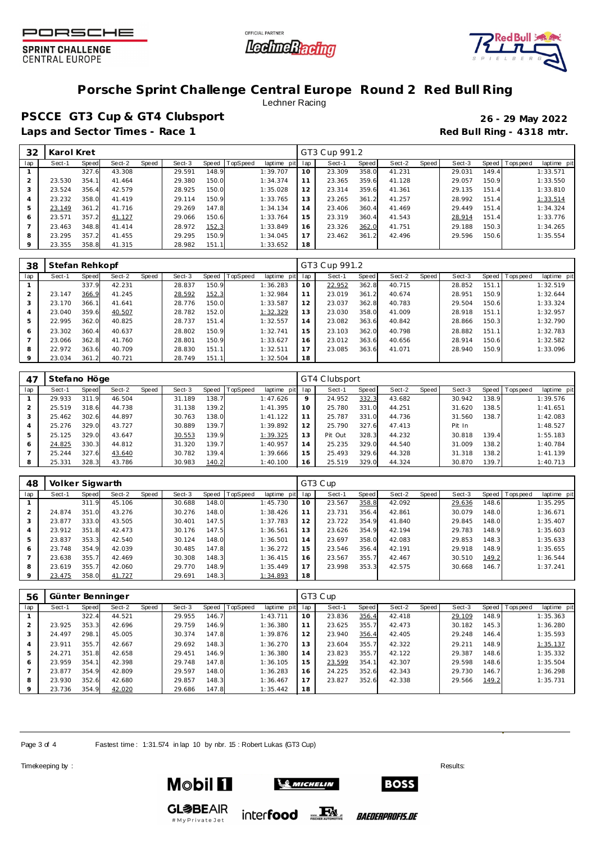





# **Porsche Sprint Challenge Central Europe Round 2 Red Bull Ring**

Lechner Racing

**PSCCE GT3 Cup & GT4 Clubsport 26 - 29 May 2022** Laps and Sector Times - Race 1 **Red Bull Ring - 4318 mtr.** 

| 32      | Karol Kret |       |        |       |        |       |                  |             |     | GT3 Cup 991.2 |       |        |       |        |       |                   |             |
|---------|------------|-------|--------|-------|--------|-------|------------------|-------------|-----|---------------|-------|--------|-------|--------|-------|-------------------|-------------|
| lap     | Sect-1     | Speed | Sect-2 | Speed | Sect-3 |       | Speed   TopSpeed | laptime pit | lap | Sect-1        | Speed | Sect-2 | Speed | Sect-3 |       | Speed   Tops peed | laptime pit |
|         |            | 327.6 | 43.308 |       | 29.591 | 148.9 |                  | 1:39.707    | 10  | 23.309        | 358.0 | 41.231 |       | 29.031 | 149.4 |                   | 1:33.571    |
|         | 23.530     | 354.1 | 41.464 |       | 29.380 | 150.0 |                  | 1:34.374    | 11  | 23.365        | 359.6 | 41.128 |       | 29.057 | 150.9 |                   | 1:33.550    |
| 3       | 23.524     | 356.4 | 42.579 |       | 28.925 | 150.0 |                  | 1:35.028    | 12  | 23.314        | 359.6 | 41.361 |       | 29.135 | 151.4 |                   | 1:33.810    |
| 4       | 23.232     | 358.0 | 41.419 |       | 29.114 | 150.9 |                  | 1:33.765    | 13  | 23.265        | 361.2 | 41.257 |       | 28.992 | 151.4 |                   | 1:33.514    |
| 5       | 23.149     | 361.2 | 41.716 |       | 29.269 | 147.8 |                  | 1:34.134    | 14  | 23.406        | 360.4 | 41.469 |       | 29.449 | 151.4 |                   | 1:34.324    |
| 6       | 23.571     | 357.2 | 41.127 |       | 29.066 | 150.6 |                  | 1:33.764    | 15  | 23.319        | 360.4 | 41.543 |       | 28.914 | 151.4 |                   | 1:33.776    |
|         | 23.463     | 348.8 | 41.414 |       | 28.972 | 152.3 |                  | 1:33.849    | 16  | 23.326        | 362.0 | 41.751 |       | 29.188 | 150.3 |                   | 1:34.265    |
| 8       | 23.295     | 357.2 | 41.455 |       | 29.295 | 150.9 |                  | 1:34.045    | 17  | 23.462        | 361.2 | 42.496 |       | 29.596 | 150.6 |                   | 1:35.554    |
| $\circ$ | 23.355     | 358.8 | 41.315 |       | 28.982 | 151.1 |                  | 1:33.652    | 18  |               |       |        |       |        |       |                   |             |

| 38  | Stefan Rehkopf |       |        |       |        |       |          |                 |    | GT3 Cup 991.2 |       |        |       |        |                    |                   |             |
|-----|----------------|-------|--------|-------|--------|-------|----------|-----------------|----|---------------|-------|--------|-------|--------|--------------------|-------------------|-------------|
| lap | Sect-1         | Speed | Sect-2 | Speed | Sect-3 | Speed | TopSpeed | laptime pit lap |    | Sect-1        | Speed | Sect-2 | Speed | Sect-3 |                    | Speed   Tops peed | laptime pit |
|     |                | 337.9 | 42.231 |       | 28.837 | 150.9 |          | 1:36.283        | 10 | 22.952        | 362.8 | 40.715 |       | 28.852 | 151.1 <sub>1</sub> |                   | 1:32.519    |
|     | 23.147         | 366.9 | 41.245 |       | 28.592 | 152.3 |          | 1:32.984        | 11 | 23.019        | 361.2 | 40.674 |       | 28.951 | 150.9              |                   | 1:32.644    |
|     | 23.170         | 366.1 | 41.641 |       | 28.776 | 150.0 |          | 1:33.587        | 12 | 23.037        | 362.8 | 40.783 |       | 29.504 | 150.6              |                   | 1:33.324    |
|     | 23.040         | 359.6 | 40.507 |       | 28.782 | 152.0 |          | 1:32.329        | 13 | 23.030        | 358.0 | 41.009 |       | 28.918 | 151.1              |                   | 1:32.957    |
|     | 22.995         | 362.0 | 40.825 |       | 28.737 | 151.4 |          | 1:32.557        | 14 | 23.082        | 363.6 | 40.842 |       | 28.866 | 150.3              |                   | 1:32.790    |
| 6   | 23.302         | 360.4 | 40.637 |       | 28.802 | 150.9 |          | 1:32.741        | 15 | 23.103        | 362.0 | 40.798 |       | 28.882 | 151.1              |                   | 1:32.783    |
|     | 23.066         | 362.8 | 41.760 |       | 28.801 | 150.9 |          | 1:33.627        | 16 | 23.012        | 363.6 | 40.656 |       | 28.914 | 150.6              |                   | 1:32.582    |
| 8   | 22.972         | 363.6 | 40.709 |       | 28.830 | 151.1 |          | 1:32.511        | 17 | 23.085        | 363.6 | 41.071 |       | 28.940 | 150.9              |                   | 1:33.096    |
|     | 23.034         | 361.2 | 40.721 |       | 28.749 | 151.1 |          | 1:32.504        | 18 |               |       |        |       |        |                    |                   |             |

| 47  | Stefano Höge |       |        |       |        |       |                 |             | GT4 Clubsport |         |       |        |       |        |       |                   |             |  |
|-----|--------------|-------|--------|-------|--------|-------|-----------------|-------------|---------------|---------|-------|--------|-------|--------|-------|-------------------|-------------|--|
| lap | Sect-1       | Speed | Sect-2 | Speed | Sect-3 | Speed | <b>TopSpeed</b> | laptime pit | lap           | Sect-1  | Speed | Sect-2 | Speed | Sect-3 |       | Speed   Tops peed | laptime pit |  |
|     | 29.933       | 311.9 | 46.504 |       | 31.189 | 138.7 |                 | 1:47.626    | $\circ$       | 24.952  | 332.3 | 43.682 |       | 30.942 | 138.9 |                   | 1:39.576    |  |
|     | 25.519       | 318.6 | 44.738 |       | 31.138 | 139.2 |                 | 1:41.395    | 10            | 25.780  | 331.0 | 44.251 |       | 31.620 | 138.5 |                   | 1:41.651    |  |
| 3   | 25.462       | 302.6 | 44.897 |       | 30.763 | 138.0 |                 | 1:41.122    |               | 25.787  | 331.0 | 44.736 |       | 31.560 | 138.7 |                   | 1:42.083    |  |
|     | 25.276       | 329.0 | 43.727 |       | 30.889 | 139.7 |                 | 1:39.892    | 12            | 25.790  | 327.6 | 47.413 |       | Pit In |       |                   | 1:48.527    |  |
| 5   | 25.125       | 329.0 | 43.647 |       | 30.553 | 139.9 |                 | 1:39.325    | 13            | Pit Out | 328.3 | 44.232 |       | 30.818 | 139.4 |                   | 1:55.183    |  |
| 6   | 24.825       | 330.3 | 44.812 |       | 31.320 | 139.7 |                 | 1:40.957    | 14            | 25.235  | 329.0 | 44.540 |       | 31.009 | 138.2 |                   | 1:40.784    |  |
|     | 25.244       | 327.6 | 43.640 |       | 30.782 | 139.4 |                 | 1:39.666    | 15            | 25.493  | 329.6 | 44.328 |       | 31.318 | 138.2 |                   | 1:41.139    |  |
| 8   | 25.331       | 328.3 | 43.786 |       | 30.983 | 140.2 |                 | 1:40.100    | 16            | 25.519  | 329.0 | 44.324 |       | 30.870 | 139.7 |                   | 1:40.713    |  |

| 48  | Volker Sigwarth |       |        |       |        |       |          |             | GT3 Cup |        |       |        |       |        |       |                   |             |  |
|-----|-----------------|-------|--------|-------|--------|-------|----------|-------------|---------|--------|-------|--------|-------|--------|-------|-------------------|-------------|--|
| lap | Sect-1          | Speed | Sect-2 | Speed | Sect-3 | Speed | TopSpeed | laptime pit | lap     | Sect-1 | Speed | Sect-2 | Speed | Sect-3 |       | Speed   Tops peed | laptime pit |  |
|     |                 | 311.9 | 45.106 |       | 30.688 | 148.0 |          | 1:45.730    | 10      | 23.567 | 358.8 | 42.092 |       | 29.636 | 148.6 |                   | 1:35.295    |  |
|     | 24.874          | 351.0 | 43.276 |       | 30.276 | 148.0 |          | 1:38.426    | 11      | 23.731 | 356.4 | 42.861 |       | 30.079 | 148.0 |                   | 1:36.671    |  |
|     | 23.877          | 333.0 | 43.505 |       | 30.401 | 147.5 |          | 1:37.783    | 12      | 23.722 | 354.9 | 41.840 |       | 29.845 | 148.0 |                   | 1:35.407    |  |
|     | 23.912          | 351.8 | 42.473 |       | 30.176 | 147.5 |          | 1:36.561    | 13      | 23.626 | 354.9 | 42.194 |       | 29.783 | 148.9 |                   | 1:35.603    |  |
|     | 23.837          | 353.3 | 42.540 |       | 30.124 | 148.0 |          | 1:36.501    | 14      | 23.697 | 358.0 | 42.083 |       | 29.853 | 148.3 |                   | 1:35.633    |  |
| 6   | 23.748          | 354.9 | 42.039 |       | 30.485 | 147.8 |          | 1:36.272    | 15      | 23.546 | 356.4 | 42.191 |       | 29.918 | 148.9 |                   | 1:35.655    |  |
|     | 23.638          | 355.7 | 42.469 |       | 30.308 | 148.3 |          | 1:36.415    | 16      | 23.567 | 355.7 | 42.467 |       | 30.510 | 149.2 |                   | 1:36.544    |  |
| 8   | 23.619          | 355.7 | 42.060 |       | 29.770 | 148.9 |          | 1:35.449    | 17      | 23.998 | 353.3 | 42.575 |       | 30.668 | 146.7 |                   | 1:37.241    |  |
|     | 23.475          | 358.0 | 41.727 |       | 29.691 | 148.3 |          | 1:34.893    | 18      |        |       |        |       |        |       |                   |             |  |

| 56  | Günter Benninger |       |        |       |        |       |          |             | GT3 Cup |        |       |        |       |        |       |                   |             |  |
|-----|------------------|-------|--------|-------|--------|-------|----------|-------------|---------|--------|-------|--------|-------|--------|-------|-------------------|-------------|--|
| lap | Sect-1           | Speed | Sect-2 | Speed | Sect-3 | Speed | TopSpeed | laptime pit | lap     | Sect-1 | Speed | Sect-2 | Speed | Sect-3 |       | Speed   Tops peed | laptime pit |  |
|     |                  | 322.4 | 44.521 |       | 29.955 | 146.7 |          | 1:43.711    | 10      | 23.836 | 356.4 | 42.418 |       | 29.109 | 148.9 |                   | 1:35.363    |  |
|     | 23.925           | 353.3 | 42.696 |       | 29.759 | 146.9 |          | 1:36.380    |         | 23.625 | 355.7 | 42.473 |       | 30.182 | 145.3 |                   | 1:36.280    |  |
| 3   | 24.497           | 298.1 | 45.005 |       | 30.374 | 147.8 |          | 1:39.876    | 12      | 23.940 | 356.4 | 42.405 |       | 29.248 | 146.4 |                   | 1:35.593    |  |
| 4   | 23.911           | 355.7 | 42.667 |       | 29.692 | 148.3 |          | 1:36.270    | 13      | 23.604 | 355.7 | 42.322 |       | 29.211 | 148.9 |                   | 1:35.137    |  |
| 5   | 24.271           | 351.8 | 42.658 |       | 29.451 | 146.9 |          | 1:36.380    | 14      | 23.823 | 355.7 | 42.122 |       | 29.387 | 148.6 |                   | 1:35.332    |  |
| 6   | 23.959           | 354.1 | 42.398 |       | 29.748 | 147.8 |          | 1:36.105    | 15      | 23.599 | 354.1 | 42.307 |       | 29.598 | 148.6 |                   | 1:35.504    |  |
|     | 23.877           | 354.9 | 42.809 |       | 29.597 | 148.0 |          | 1:36.283    | 16      | 24.225 | 352.6 | 42.343 |       | 29.730 | 146.7 |                   | 1:36.298    |  |
| 8   | 23.930           | 352.6 | 42.680 |       | 29.857 | 148.3 |          | 1:36.467    | 17      | 23.827 | 352.6 | 42.338 |       | 29.566 | 149.2 |                   | 1:35.731    |  |
|     | 23.736           | 354.9 | 42.020 |       | 29.686 | 147.8 |          | 1:35.442    | 18      |        |       |        |       |        |       |                   |             |  |

Page 3 of 4 Fastest time: 1:31.574 in lap 10 by nbr. 15: Robert Lukas (GT3 Cup)

Timekeeping by : Results:  $\blacksquare$ 





**GL参BEAIR** inter**food** FALL #MyPrivateJet

*BAEDERPROFIS.DE*